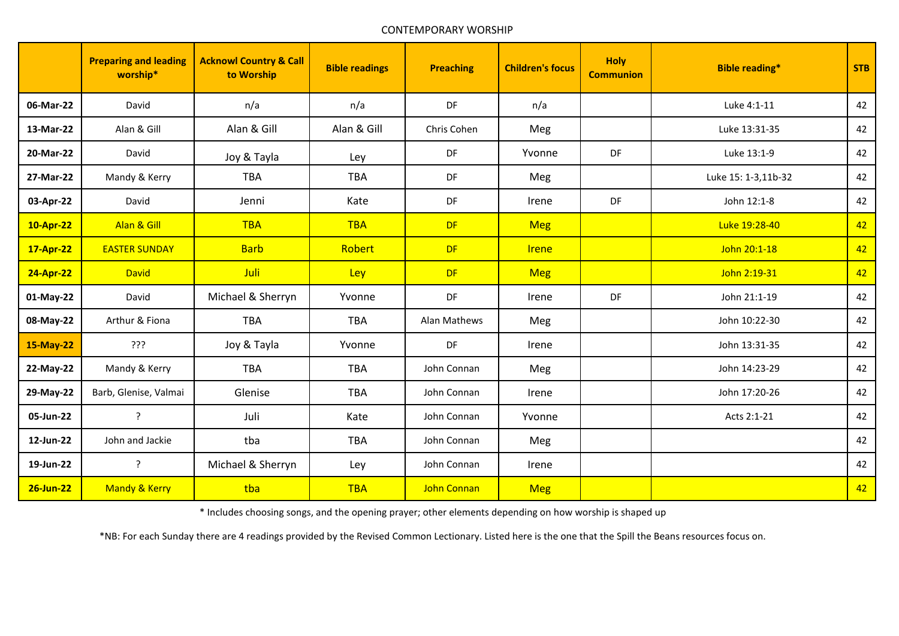## CONTEMPORARY WORSHIP

|           | <b>Preparing and leading</b><br>worship* | <b>Acknowl Country &amp; Call</b><br>to Worship | <b>Bible readings</b> | <b>Preaching</b>   | <b>Children's focus</b> | <b>Holy</b><br><b>Communion</b> | <b>Bible reading*</b> | <b>STB</b> |
|-----------|------------------------------------------|-------------------------------------------------|-----------------------|--------------------|-------------------------|---------------------------------|-----------------------|------------|
| 06-Mar-22 | David                                    | n/a                                             | n/a                   | DF                 | n/a                     |                                 | Luke 4:1-11           | 42         |
| 13-Mar-22 | Alan & Gill                              | Alan & Gill                                     | Alan & Gill           | Chris Cohen        | Meg                     |                                 | Luke 13:31-35         | 42         |
| 20-Mar-22 | David                                    | Joy & Tayla                                     | Ley                   | DF                 | Yvonne                  | DF                              | Luke 13:1-9           | 42         |
| 27-Mar-22 | Mandy & Kerry                            | <b>TBA</b>                                      | <b>TBA</b>            | DF                 | Meg                     |                                 | Luke 15: 1-3,11b-32   | 42         |
| 03-Apr-22 | David                                    | Jenni                                           | Kate                  | DF                 | Irene                   | DF                              | John 12:1-8           | 42         |
| 10-Apr-22 | Alan & Gill                              | <b>TBA</b>                                      | <b>TBA</b>            | <b>DF</b>          | <b>Meg</b>              |                                 | Luke 19:28-40         | 42         |
| 17-Apr-22 | <b>EASTER SUNDAY</b>                     | <b>Barb</b>                                     | Robert                | <b>DF</b>          | <b>Irene</b>            |                                 | John 20:1-18          | 42         |
| 24-Apr-22 | <b>David</b>                             | Juli                                            | Ley                   | <b>DF</b>          | <b>Meg</b>              |                                 | John 2:19-31          | 42         |
| 01-May-22 | David                                    | Michael & Sherryn                               | Yvonne                | DF                 | Irene                   | DF                              | John 21:1-19          | 42         |
| 08-May-22 | Arthur & Fiona                           | <b>TBA</b>                                      | <b>TBA</b>            | Alan Mathews       | Meg                     |                                 | John 10:22-30         | 42         |
| 15-May-22 | ???                                      | Joy & Tayla                                     | Yvonne                | DF                 | Irene                   |                                 | John 13:31-35         | 42         |
| 22-May-22 | Mandy & Kerry                            | <b>TBA</b>                                      | <b>TBA</b>            | John Connan        | Meg                     |                                 | John 14:23-29         | 42         |
| 29-May-22 | Barb, Glenise, Valmai                    | Glenise                                         | <b>TBA</b>            | John Connan        | Irene                   |                                 | John 17:20-26         | 42         |
| 05-Jun-22 | ?                                        | Juli                                            | Kate                  | John Connan        | Yvonne                  |                                 | Acts 2:1-21           | 42         |
| 12-Jun-22 | John and Jackie                          | tba                                             | <b>TBA</b>            | John Connan        | Meg                     |                                 |                       | 42         |
| 19-Jun-22 | ?                                        | Michael & Sherryn                               | Ley                   | John Connan        | Irene                   |                                 |                       | 42         |
| 26-Jun-22 | Mandy & Kerry                            | tba                                             | <b>TBA</b>            | <b>John Connan</b> | <b>Meg</b>              |                                 |                       | 42         |

\* Includes choosing songs, and the opening prayer; other elements depending on how worship is shaped up

\*NB: For each Sunday there are 4 readings provided by the Revised Common Lectionary. Listed here is the one that the Spill the Beans resources focus on.